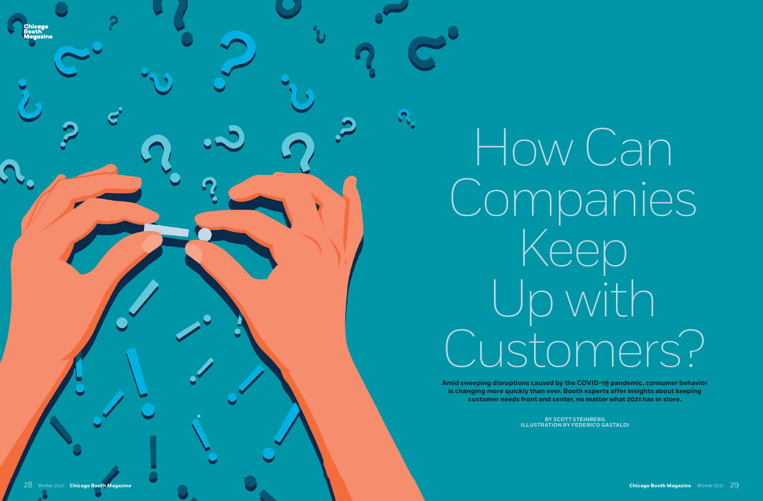**A**

How Can Companies Keep Up with Customers?

**Amid sweeping disruptions caused by the COVID-19 pandemic, consumer behavior is changing more quickly than ever. Booth experts offer insights about keeping customer needs front and center, no matter what 2021 has in store.**

> **BY SCOTT STEINBERG ILLUSTRATION BY FEDERICO GASTALDI**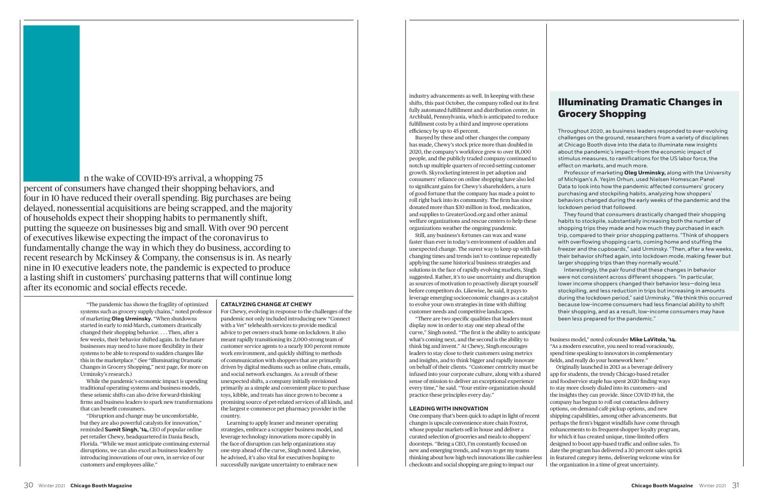I n the wake of COVID-19's arrival, a whopping 75 percent of consumers have changed their shopping behaviors, and four in 10 have reduced their overall spending. Big purchases are being delayed, nonessential acquisitions are being scrapped, and the majority of households expect their shopping habits to permanently shift, putting the squeeze on businesses big and small. With over 90 percent of executives likewise expecting the impact of the coronavirus to fundamentally change the way in which they do business, according to recent research by McKinsey & Company, the consensus is in. As nearly nine in 10 executive leaders note, the pandemic is expected to produce a lasting shift in customers' purchasing patterns that will continue long after its economic and social effects recede.

> "The pandemic has shown the fragility of optimized systems such as grocery supply chains," noted professor of marketing **Oleg Urminsky.** "When shutdowns started in early to mid-March, customers drastically changed their shopping behavior. . . . Then, after a few weeks, their behavior shifted again. In the future businesses may need to have more flexibility in their systems to be able to respond to sudden changes like this in the marketplace." (See "Illuminating Dramatic Changes in Grocery Shopping," next page, for more on Urminsky's research.)

> While the pandemic's economic impact is upending traditional operating systems and business models, these seismic shifts can also drive forward-thinking firms and business leaders to spark new transformations that can benefit consumers.

"Disruption and change may be uncomfortable, but they are also powerful catalysts for innovation," reminded **Sumit Singh, '14,** CEO of popular online pet retailer Chewy, headquartered in Dania Beach, Florida. "While we must anticipate continuing external disruptions, we can also excel as business leaders by introducing innovations of our own, in service of our customers and employees alike."

### **CATALYZING CHANGE AT CHEWY**

For Chewy, evolving in response to the challenges of the pandemic not only included introducing new "Connect with a Vet" telehealth services to provide medical advice to pet owners stuck home on lockdown. It also meant rapidly transitioning its 2,000-strong team of customer service agents to a nearly 100 percent remote work environment, and quickly shifting to methods of communication with shoppers that are primarily driven by digital mediums such as online chats, emails, and social network exchanges. As a result of these unexpected shifts, a company initially envisioned primarily as a simple and convenient place to purchase toys, kibble, and treats has since grown to become a promising source of pet-related services of all kinds, and the largest e-commerce pet pharmacy provider in the country.

Learning to apply leaner and meaner operating strategies, embrace a scrappier business model, and leverage technology innovations more capably in the face of disruption can help organizations stay one step ahead of the curve, Singh noted. Likewise, he advised, it's also vital for executives hoping to successfully navigate uncertainty to embrace new

industry advancements as well. In keeping with these shifts, this past October, the company rolled out its first fully automated fulfillment and distribution center, in Archbald, Pennsylvania, which is anticipated to reduce fulfillment costs by a third and improve operations efficiency by up to 45 percent.

Buoyed by these and other changes the company has made, Chewy's stock price more than doubled in 2020, the company's workforce grew to over 18,000 people, and the publicly traded company continued to notch up multiple quarters of record-setting customer growth. Skyrocketing interest in pet adoption and consumers' reliance on online shopping have also led to significant gains for Chewy's shareholders, a turn of good fortune that the company has made a point to roll right back into its community. The firm has since donated more than \$30 million in food, medication, and supplies to GreaterGood.org and other animal welfare organizations and rescue centers to help these organizations weather the ongoing pandemic.

Still, any business's fortunes can wax and wane faster than ever in today's environment of sudden and unexpected change. The surest way to keep up with fastchanging times and trends isn't to continue repeatedly applying the same historical business strategies and solutions in the face of rapidly evolving markets, Singh suggested. Rather, it's to use uncertainty and disruption as sources of motivation to proactively disrupt yourself before competitors do. Likewise, he said, it pays to leverage emerging socioeconomic changes as a catalyst to evolve your own strategies in time with shifting customer needs and competitive landscapes.

"There are two specific qualities that leaders must display now in order to stay one step ahead of the curve," Singh noted. "The first is the ability to anticipate what's coming next, and the second is the ability to think big and invent." At Chewy, Singh encourages leaders to stay close to their customers using metrics and insights, and to think bigger and rapidly innovate on behalf of their clients. "Customer centricity must be infused into your corporate culture, along with a shared sense of mission to deliver an exceptional experience every time," he said. "Your entire organization should practice these principles every day."

### **LEADING WITH INNOVATION**

One company that's been quick to adapt in light of recent changes is upscale convenience store chain Foxtrot, whose popular markets sell in house and deliver a curated selection of groceries and meals to shoppers' doorsteps. "Being a CEO, I'm constantly focused on new and emerging trends, and ways to get my teams thinking about how high-tech innovations like cashier-less checkouts and social shopping are going to impact our

business model," noted cofounder **Mike LaVitola, '14.** "As a modern executive, you need to read voraciously, spend time speaking to innovators in complementary fields, and really do your homework here."

Originally launched in 2013 as a beverage delivery app for students, the trendy Chicago-based retailer and foodservice staple has spent 2020 finding ways to stay more closely dialed into its customers—and the insights they can provide. Since COVID-19 hit, the company has begun to roll out contactless delivery options, on-demand café pickup options, and new shipping capabilities, among other advancements. But perhaps the firm's biggest windfalls have come through enhancements to its frequent-shopper loyalty program, for which it has created unique, time-limited offers designed to boost app-based traffic and online sales. To date the program has delivered a 30 percent sales uptick in featured category items, delivering welcome wins for the organization in a time of great uncertainty.

# **Illuminating Dramatic Changes in Grocery Shopping**

Throughout 2020, as business leaders responded to ever-evolving challenges on the ground, researchers from a variety of disciplines at Chicago Booth dove into the data to illuminate new insights about the pandemic's impact—from the economic impact of stimulus measures, to ramifications for the US labor force, the effect on markets, and much more.

Professor of marketing **Oleg Urminsky,** along with the University of Michigan's A. Yeşim Orhun, used Nielsen Homescan Panel Data to look into how the pandemic affected consumers' grocery purchasing and stockpiling habits, analyzing how shoppers' behaviors changed during the early weeks of the pandemic and the lockdown period that followed.

They found that consumers drastically changed their shopping habits to stockpile, substantially increasing both the number of shopping trips they made and how much they purchased in each trip, compared to their prior shopping patterns. "Think of shoppers with overflowing shopping carts, coming home and stuffing the freezer and the cupboards," said Urminsky. "Then, after a few weeks, their behavior shifted again, into lockdown mode, making fewer but larger shopping trips than they normally would."

Interestingly, the pair found that these changes in behavior were not consistent across different shoppers. "In particular, lower income shoppers changed their behavior less—doing less stockpiling, and less reduction in trips but increasing in amounts during the lockdown period," said Urminsky. "We think this occurred because low-income consumers had less financial ability to shift their shopping, and as a result, low-income consumers may have been less prepared for the pandemic."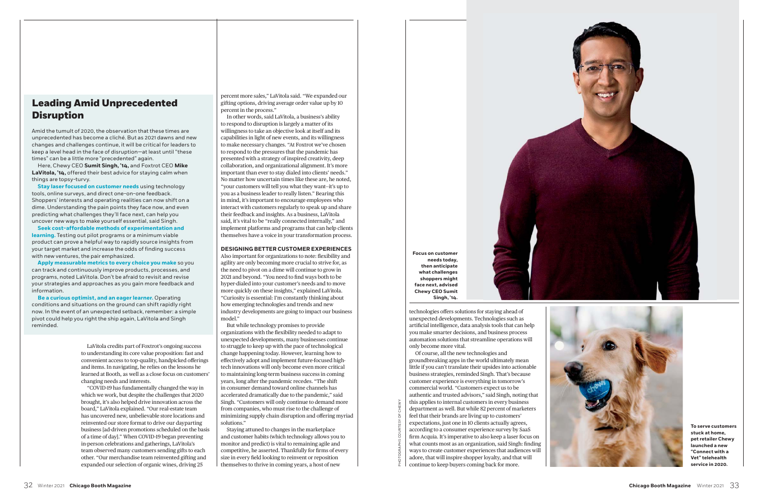PHOTOGRAPHS COURTESY OF CHEWY





LaVitola credits part of Foxtrot's ongoing success to understanding its core value proposition: fast and convenient access to top-quality, handpicked offerings and items. In navigating, he relies on the lessons he learned at Booth, as well as a close focus on customers' changing needs and interests.

"COVID-19 has fundamentally changed the way in which we work, but despite the challenges that 2020 brought, it's also helped drive innovation across the board," LaVitola explained. "Our real-estate team has uncovered new, unbelievable store locations and reinvented our store format to drive our dayparting business [ad-driven promotions scheduled on the basis of a time of day]." When COVID-19 began preventing in-person celebrations and gatherings, LaVitola's team observed many customers sending gifts to each other. "Our merchandise team reinvented gifting and expanded our selection of organic wines, driving 25

technologies offers solutions for staying ahead of unexpected developments. Technologies such as artificial intelligence, data analysis tools that can help you make smarter decisions, and business process automation solutions that streamline operations will only become more vital.

Of course, all the new technologies and groundbreaking apps in the world ultimately mean little if you can't translate their upsides into actionable business strategies, reminded Singh. That's because customer experience is everything in tomorrow's commercial world. "Customers expect us to be authentic and trusted advisors," said Singh, noting that this applies to internal customers in every business department as well. But while 82 percent of marketers feel that their brands are living up to customers' expectations, just one in 10 clients actually agrees, according to a consumer experience survey by SaaS firm Acquia. It's imperative to also keep a laser focus on what counts most as an organization, said Singh: finding ways to create customer experiences that audiences will adore, that will inspire shopper loyalty, and that will continue to keep buyers coming back for more.



## **Leading Amid Unprecedented Disruption**

Amid the tumult of 2020, the observation that these times are unprecedented has become a cliché. But as 2021 dawns and new changes and challenges continue, it will be critical for leaders to keep a level head in the face of disruption—at least until "these times" can be a little more "precedented" again.

Here, Chewy CEO **Sumit Singh, '14,** and Foxtrot CEO **Mike LaVitola, '14,** offered their best advice for staying calm when things are topsy-turvy.

**Stay laser focused on customer needs** using technology tools, online surveys, and direct one-on-one feedback. Shoppers' interests and operating realities can now shift on a dime. Understanding the pain points they face now, and even predicting what challenges they'll face next, can help you uncover new ways to make yourself essential, said Singh.

**Seek cost-affordable methods of experimentation and learning.** Testing out pilot programs or a minimum viable product can prove a helpful way to rapidly source insights from your target market and increase the odds of finding success with new ventures, the pair emphasized.

**Apply measurable metrics to every choice you make** so you can track and continuously improve products, processes, and programs, noted LaVitola. Don't be afraid to revisit and revise your strategies and approaches as you gain more feedback and information.

**Be a curious optimist, and an eager learner.** Operating conditions and situations on the ground can shift rapidly right now. In the event of an unexpected setback, remember: a simple pivot could help you right the ship again, LaVitola and Singh reminded.

percent more sales," LaVitola said. "We expanded our gifting options, driving average order value up by 10 percent in the process."

In other words, said LaVitola, a business's ability to respond to disruption is largely a matter of its willingness to take an objective look at itself and its capabilities in light of new events, and its willingness to make necessary changes. "At Foxtrot we've chosen to respond to the pressures that the pandemic has presented with a strategy of inspired creativity, deep collaboration, and organizational alignment. It's more important than ever to stay dialed into clients' needs." No matter how uncertain times like these are, he noted, "your customers will tell you what they want—it's up to you as a business leader to really listen." Bearing this in mind, it's important to encourage employees who interact with customers regularly to speak up and share their feedback and insights. As a business, LaVitola said, it's vital to be "really connected internally," and implement platforms and programs that can help clients themselves have a voice in your transformation process.

### **DESIGNING BETTER CUSTOMER EXPERIENCES**

Also important for organizations to note: flexibility and agility are only becoming more crucial to strive for, as the need to pivot on a dime will continue to grow in 2021 and beyond. "You need to find ways both to be hyper-dialed into your customer's needs and to move more quickly on these insights," explained LaVitola. "Curiosity is essential: I'm constantly thinking about how emerging technologies and trends and new industry developments are going to impact our business model."

But while technology promises to provide organizations with the flexibility needed to adapt to unexpected developments, many businesses continue to struggle to keep up with the pace of technological change happening today. However, learning how to effectively adopt and implement future-focused hightech innovations will only become even more critical to maintaining long-term business success in coming years, long after the pandemic recedes. "The shift in consumer demand toward online channels has accelerated dramatically due to the pandemic," said Singh. "Customers will only continue to demand more from companies, who must rise to the challenge of minimizing supply chain disruption and offering myriad solutions."

Staying attuned to changes in the marketplace and customer habits (which technology allows you to monitor and predict) is vital to remaining agile and competitive, he asserted. Thankfully for firms of every size in every field looking to reinvent or reposition themselves to thrive in coming years, a host of new

**To serve customers stuck at home, pet retailer Chewy launched a new "Connect with a Vet" telehealth service in 2020.**

**Focus on customer needs today, then anticipate what challenges shoppers might face next, advised Chewy CEO Sumit Singh, '14.**